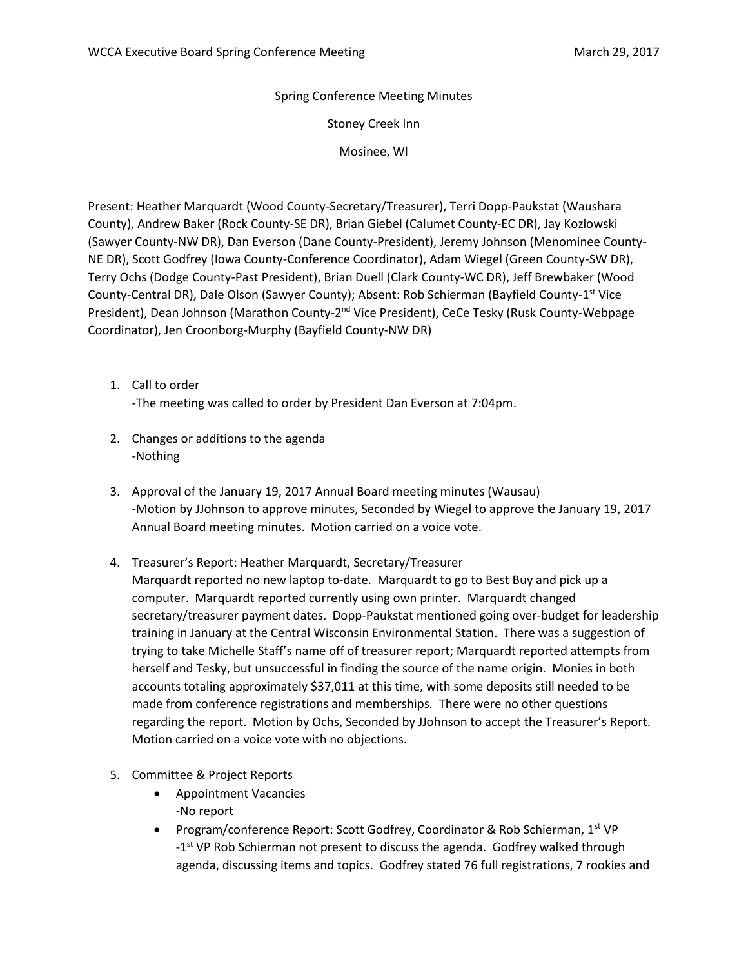Spring Conference Meeting Minutes

Stoney Creek Inn

Mosinee, WI

Present: Heather Marquardt (Wood County-Secretary/Treasurer), Terri Dopp-Paukstat (Waushara County), Andrew Baker (Rock County-SE DR), Brian Giebel (Calumet County-EC DR), Jay Kozlowski (Sawyer County-NW DR), Dan Everson (Dane County-President), Jeremy Johnson (Menominee County-NE DR), Scott Godfrey (Iowa County-Conference Coordinator), Adam Wiegel (Green County-SW DR), Terry Ochs (Dodge County-Past President), Brian Duell (Clark County-WC DR), Jeff Brewbaker (Wood County-Central DR), Dale Olson (Sawyer County); Absent: Rob Schierman (Bayfield County-1<sup>st</sup> Vice President), Dean Johnson (Marathon County-2<sup>nd</sup> Vice President), CeCe Tesky (Rusk County-Webpage Coordinator), Jen Croonborg-Murphy (Bayfield County-NW DR)

- 1. Call to order -The meeting was called to order by President Dan Everson at 7:04pm.
- 2. Changes or additions to the agenda -Nothing
- 3. Approval of the January 19, 2017 Annual Board meeting minutes (Wausau) -Motion by JJohnson to approve minutes, Seconded by Wiegel to approve the January 19, 2017 Annual Board meeting minutes. Motion carried on a voice vote.
- 4. Treasurer's Report: Heather Marquardt, Secretary/Treasurer Marquardt reported no new laptop to-date. Marquardt to go to Best Buy and pick up a computer. Marquardt reported currently using own printer. Marquardt changed secretary/treasurer payment dates. Dopp-Paukstat mentioned going over-budget for leadership training in January at the Central Wisconsin Environmental Station. There was a suggestion of trying to take Michelle Staff's name off of treasurer report; Marquardt reported attempts from herself and Tesky, but unsuccessful in finding the source of the name origin. Monies in both accounts totaling approximately \$37,011 at this time, with some deposits still needed to be
	- made from conference registrations and memberships. There were no other questions regarding the report. Motion by Ochs, Seconded by JJohnson to accept the Treasurer's Report. Motion carried on a voice vote with no objections.
- 5. Committee & Project Reports
	- Appointment Vacancies -No report
	- Program/conference Report: Scott Godfrey, Coordinator & Rob Schierman, 1<sup>st</sup> VP -1<sup>st</sup> VP Rob Schierman not present to discuss the agenda. Godfrey walked through agenda, discussing items and topics. Godfrey stated 76 full registrations, 7 rookies and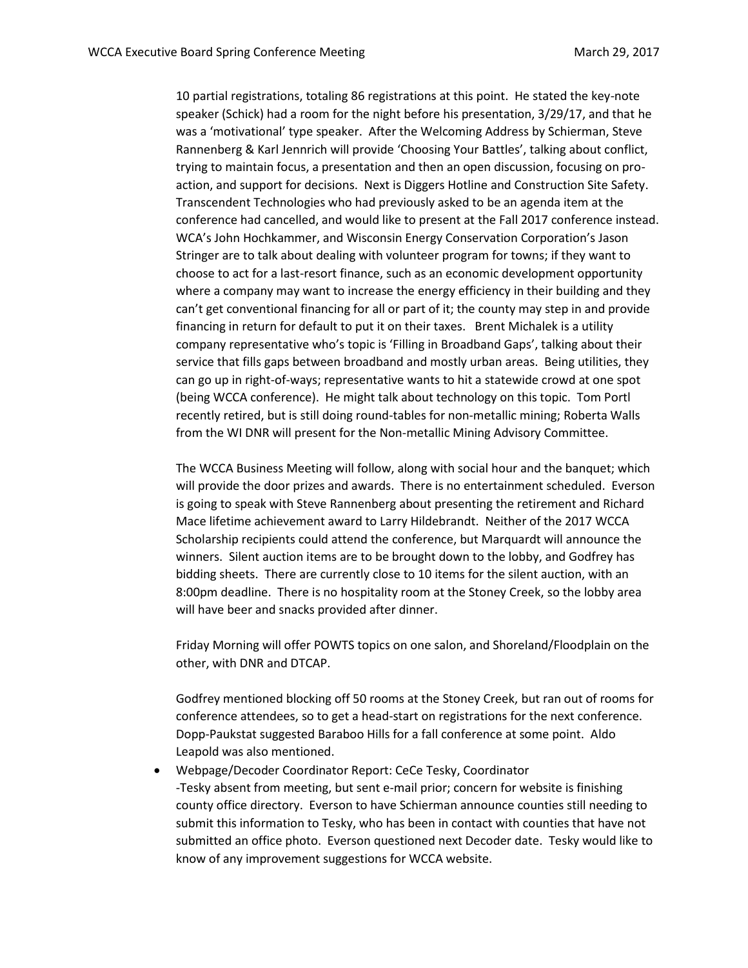10 partial registrations, totaling 86 registrations at this point. He stated the key-note speaker (Schick) had a room for the night before his presentation, 3/29/17, and that he was a 'motivational' type speaker. After the Welcoming Address by Schierman, Steve Rannenberg & Karl Jennrich will provide 'Choosing Your Battles', talking about conflict, trying to maintain focus, a presentation and then an open discussion, focusing on proaction, and support for decisions. Next is Diggers Hotline and Construction Site Safety. Transcendent Technologies who had previously asked to be an agenda item at the conference had cancelled, and would like to present at the Fall 2017 conference instead. WCA's John Hochkammer, and Wisconsin Energy Conservation Corporation's Jason Stringer are to talk about dealing with volunteer program for towns; if they want to choose to act for a last-resort finance, such as an economic development opportunity where a company may want to increase the energy efficiency in their building and they can't get conventional financing for all or part of it; the county may step in and provide financing in return for default to put it on their taxes. Brent Michalek is a utility company representative who's topic is 'Filling in Broadband Gaps', talking about their service that fills gaps between broadband and mostly urban areas. Being utilities, they can go up in right-of-ways; representative wants to hit a statewide crowd at one spot (being WCCA conference). He might talk about technology on this topic. Tom Portl recently retired, but is still doing round-tables for non-metallic mining; Roberta Walls from the WI DNR will present for the Non-metallic Mining Advisory Committee.

The WCCA Business Meeting will follow, along with social hour and the banquet; which will provide the door prizes and awards. There is no entertainment scheduled. Everson is going to speak with Steve Rannenberg about presenting the retirement and Richard Mace lifetime achievement award to Larry Hildebrandt. Neither of the 2017 WCCA Scholarship recipients could attend the conference, but Marquardt will announce the winners. Silent auction items are to be brought down to the lobby, and Godfrey has bidding sheets. There are currently close to 10 items for the silent auction, with an 8:00pm deadline. There is no hospitality room at the Stoney Creek, so the lobby area will have beer and snacks provided after dinner.

Friday Morning will offer POWTS topics on one salon, and Shoreland/Floodplain on the other, with DNR and DTCAP.

Godfrey mentioned blocking off 50 rooms at the Stoney Creek, but ran out of rooms for conference attendees, so to get a head-start on registrations for the next conference. Dopp-Paukstat suggested Baraboo Hills for a fall conference at some point. Aldo Leapold was also mentioned.

 Webpage/Decoder Coordinator Report: CeCe Tesky, Coordinator -Tesky absent from meeting, but sent e-mail prior; concern for website is finishing county office directory. Everson to have Schierman announce counties still needing to submit this information to Tesky, who has been in contact with counties that have not submitted an office photo. Everson questioned next Decoder date. Tesky would like to know of any improvement suggestions for WCCA website.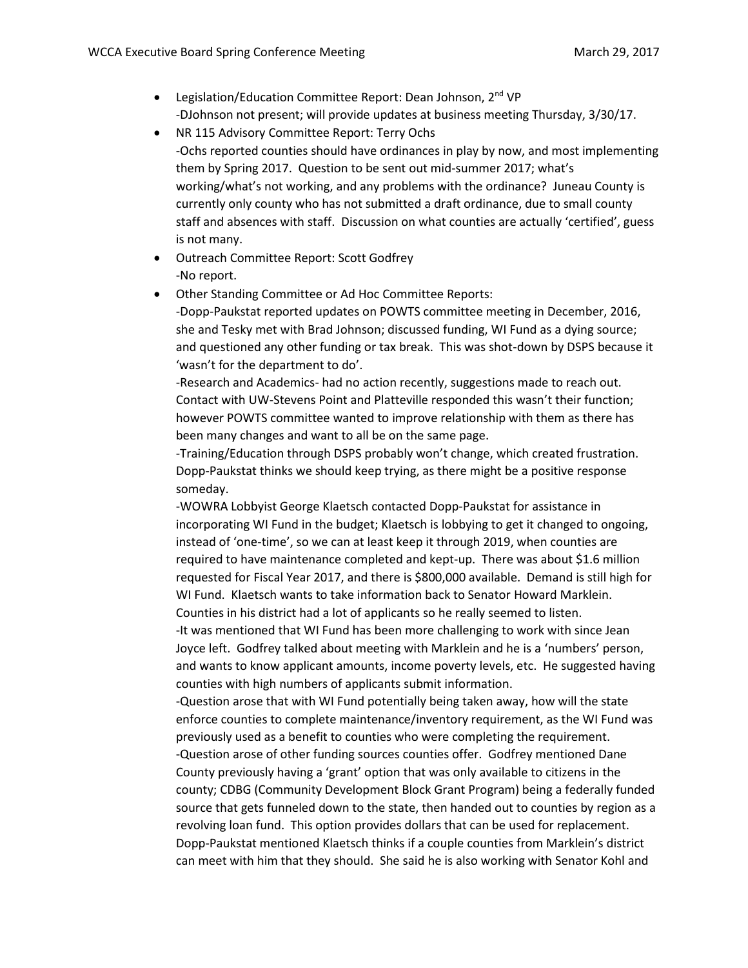- Legislation/Education Committee Report: Dean Johnson, 2<sup>nd</sup> VP -DJohnson not present; will provide updates at business meeting Thursday, 3/30/17.
- NR 115 Advisory Committee Report: Terry Ochs -Ochs reported counties should have ordinances in play by now, and most implementing them by Spring 2017. Question to be sent out mid-summer 2017; what's working/what's not working, and any problems with the ordinance? Juneau County is currently only county who has not submitted a draft ordinance, due to small county staff and absences with staff. Discussion on what counties are actually 'certified', guess is not many.
- Outreach Committee Report: Scott Godfrey -No report.
- Other Standing Committee or Ad Hoc Committee Reports: -Dopp-Paukstat reported updates on POWTS committee meeting in December, 2016, she and Tesky met with Brad Johnson; discussed funding, WI Fund as a dying source; and questioned any other funding or tax break. This was shot-down by DSPS because it 'wasn't for the department to do'.

-Research and Academics- had no action recently, suggestions made to reach out. Contact with UW-Stevens Point and Platteville responded this wasn't their function; however POWTS committee wanted to improve relationship with them as there has been many changes and want to all be on the same page.

-Training/Education through DSPS probably won't change, which created frustration. Dopp-Paukstat thinks we should keep trying, as there might be a positive response someday.

-WOWRA Lobbyist George Klaetsch contacted Dopp-Paukstat for assistance in incorporating WI Fund in the budget; Klaetsch is lobbying to get it changed to ongoing, instead of 'one-time', so we can at least keep it through 2019, when counties are required to have maintenance completed and kept-up. There was about \$1.6 million requested for Fiscal Year 2017, and there is \$800,000 available. Demand is still high for WI Fund. Klaetsch wants to take information back to Senator Howard Marklein. Counties in his district had a lot of applicants so he really seemed to listen.

-It was mentioned that WI Fund has been more challenging to work with since Jean Joyce left. Godfrey talked about meeting with Marklein and he is a 'numbers' person, and wants to know applicant amounts, income poverty levels, etc. He suggested having counties with high numbers of applicants submit information.

-Question arose that with WI Fund potentially being taken away, how will the state enforce counties to complete maintenance/inventory requirement, as the WI Fund was previously used as a benefit to counties who were completing the requirement.

-Question arose of other funding sources counties offer. Godfrey mentioned Dane County previously having a 'grant' option that was only available to citizens in the county; CDBG (Community Development Block Grant Program) being a federally funded source that gets funneled down to the state, then handed out to counties by region as a revolving loan fund. This option provides dollars that can be used for replacement. Dopp-Paukstat mentioned Klaetsch thinks if a couple counties from Marklein's district can meet with him that they should. She said he is also working with Senator Kohl and